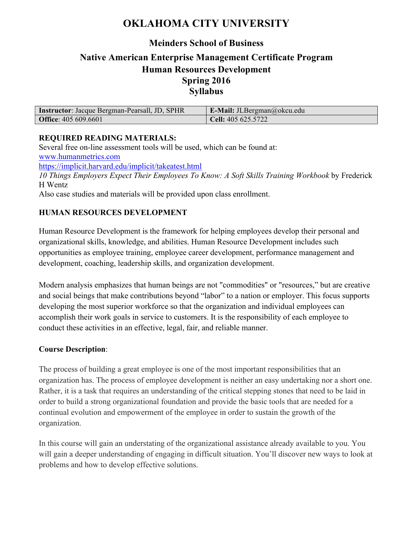# **OKLAHOMA CITY UNIVERSITY**

## **Meinders School of Business**

# **Native American Enterprise Management Certificate Program Human Resources Development Spring 2016 Syllabus**

| <b>Instructor:</b> Jacque Bergman-Pearsall, JD, SPHR | <b>E-Mail:</b> JLBergman@okcu.edu |
|------------------------------------------------------|-----------------------------------|
| <b>Office</b> : 405 609.6601                         | <b>Cell:</b> 405 625.5722         |

#### **REQUIRED READING MATERIALS:**

Several free on-line assessment tools will be used, which can be found at: www.humanmetrics.com https://implicit.harvard.edu/implicit/takeatest.html *10 Things Employers Expect Their Employees To Know: A Soft Skills Training Workbook* by Frederick H Wentz Also case studies and materials will be provided upon class enrollment.

## **HUMAN RESOURCES DEVELOPMENT**

Human Resource Development is the framework for helping employees develop their personal and organizational skills, knowledge, and abilities. Human Resource Development includes such opportunities as employee training, employee career development, performance management and development, coaching, leadership skills, and organization development.

Modern analysis emphasizes that human beings are not "commodities" or "resources," but are creative and social beings that make contributions beyond "labor" to a nation or employer. This focus supports developing the most superior workforce so that the organization and individual employees can accomplish their work goals in service to customers. It is the responsibility of each employee to conduct these activities in an effective, legal, fair, and reliable manner.

#### **Course Description**:

The process of building a great employee is one of the most important responsibilities that an organization has. The process of employee development is neither an easy undertaking nor a short one. Rather, it is a task that requires an understanding of the critical stepping stones that need to be laid in order to build a strong organizational foundation and provide the basic tools that are needed for a continual evolution and empowerment of the employee in order to sustain the growth of the organization.

In this course will gain an understating of the organizational assistance already available to you. You will gain a deeper understanding of engaging in difficult situation. You'll discover new ways to look at problems and how to develop effective solutions.